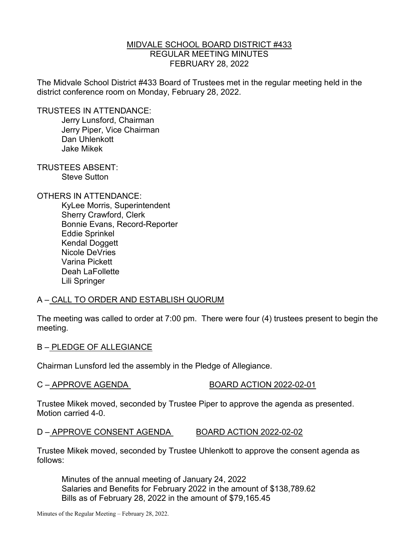## MIDVALE SCHOOL BOARD DISTRICT #433 REGULAR MEETING MINUTES FEBRUARY 28, 2022

The Midvale School District #433 Board of Trustees met in the regular meeting held in the district conference room on Monday, February 28, 2022.

TRUSTEES IN ATTENDANCE:

 Jerry Lunsford, Chairman Jerry Piper, Vice Chairman Dan Uhlenkott Jake Mikek

TRUSTEES ABSENT: Steve Sutton

OTHERS IN ATTENDANCE:

 KyLee Morris, Superintendent Sherry Crawford, Clerk Bonnie Evans, Record-Reporter Eddie Sprinkel Kendal Doggett Nicole DeVries Varina Pickett Deah LaFollette Lili Springer

## A – CALL TO ORDER AND ESTABLISH QUORUM

The meeting was called to order at 7:00 pm. There were four (4) trustees present to begin the meeting.

B – PLEDGE OF ALLEGIANCE

Chairman Lunsford led the assembly in the Pledge of Allegiance.

C – APPROVE AGENDA BOARD ACTION 2022-02-01

Trustee Mikek moved, seconded by Trustee Piper to approve the agenda as presented. Motion carried 4-0.

## D – APPROVE CONSENT AGENDA BOARD ACTION 2022-02-02

Trustee Mikek moved, seconded by Trustee Uhlenkott to approve the consent agenda as follows:

 Minutes of the annual meeting of January 24, 2022 Salaries and Benefits for February 2022 in the amount of \$138,789.62 Bills as of February 28, 2022 in the amount of \$79,165.45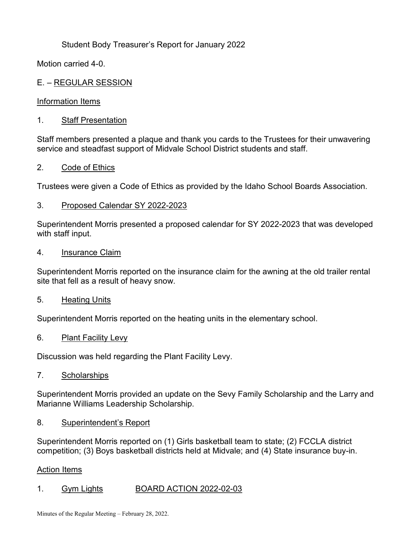Student Body Treasurer's Report for January 2022

Motion carried 4-0.

# E. – REGULAR SESSION

## Information Items

## 1. Staff Presentation

Staff members presented a plaque and thank you cards to the Trustees for their unwavering service and steadfast support of Midvale School District students and staff.

### 2. Code of Ethics

Trustees were given a Code of Ethics as provided by the Idaho School Boards Association.

### 3. Proposed Calendar SY 2022-2023

Superintendent Morris presented a proposed calendar for SY 2022-2023 that was developed with staff input.

#### 4. Insurance Claim

Superintendent Morris reported on the insurance claim for the awning at the old trailer rental site that fell as a result of heavy snow.

#### 5. Heating Units

Superintendent Morris reported on the heating units in the elementary school.

6. Plant Facility Levy

Discussion was held regarding the Plant Facility Levy.

7. Scholarships

Superintendent Morris provided an update on the Sevy Family Scholarship and the Larry and Marianne Williams Leadership Scholarship.

## 8. Superintendent's Report

Superintendent Morris reported on (1) Girls basketball team to state; (2) FCCLA district competition; (3) Boys basketball districts held at Midvale; and (4) State insurance buy-in.

#### Action Items

## 1. Gym Lights BOARD ACTION 2022-02-03

Minutes of the Regular Meeting – February 28, 2022.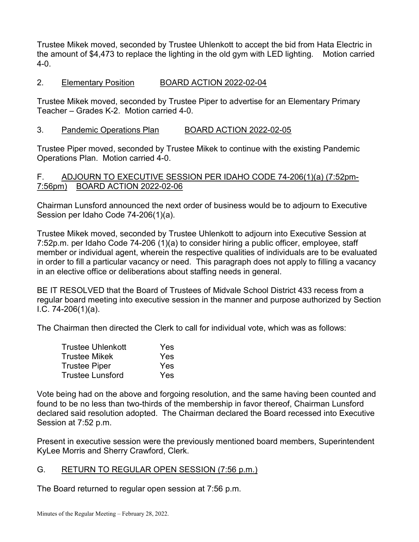Trustee Mikek moved, seconded by Trustee Uhlenkott to accept the bid from Hata Electric in the amount of \$4,473 to replace the lighting in the old gym with LED lighting. Motion carried 4-0.

## 2. Elementary Position BOARD ACTION 2022-02-04

Trustee Mikek moved, seconded by Trustee Piper to advertise for an Elementary Primary Teacher – Grades K-2. Motion carried 4-0.

## 3. Pandemic Operations Plan BOARD ACTION 2022-02-05

Trustee Piper moved, seconded by Trustee Mikek to continue with the existing Pandemic Operations Plan. Motion carried 4-0.

## F. ADJOURN TO EXECUTIVE SESSION PER IDAHO CODE 74-206(1)(a) (7:52pm-7:56pm) BOARD ACTION 2022-02-06

Chairman Lunsford announced the next order of business would be to adjourn to Executive Session per Idaho Code 74-206(1)(a).

Trustee Mikek moved, seconded by Trustee Uhlenkott to adjourn into Executive Session at 7:52p.m. per Idaho Code 74-206 (1)(a) to consider hiring a public officer, employee, staff member or individual agent, wherein the respective qualities of individuals are to be evaluated in order to fill a particular vacancy or need. This paragraph does not apply to filling a vacancy in an elective office or deliberations about staffing needs in general.

BE IT RESOLVED that the Board of Trustees of Midvale School District 433 recess from a regular board meeting into executive session in the manner and purpose authorized by Section I.C. 74-206(1)(a).

The Chairman then directed the Clerk to call for individual vote, which was as follows:

| <b>Trustee Uhlenkott</b> | Yes |
|--------------------------|-----|
| <b>Trustee Mikek</b>     | Yes |
| <b>Trustee Piper</b>     | Yes |
| <b>Trustee Lunsford</b>  | Yes |

Vote being had on the above and forgoing resolution, and the same having been counted and found to be no less than two-thirds of the membership in favor thereof, Chairman Lunsford declared said resolution adopted. The Chairman declared the Board recessed into Executive Session at 7:52 p.m.

Present in executive session were the previously mentioned board members, Superintendent KyLee Morris and Sherry Crawford, Clerk.

# G. RETURN TO REGULAR OPEN SESSION (7:56 p.m.)

The Board returned to regular open session at 7:56 p.m.